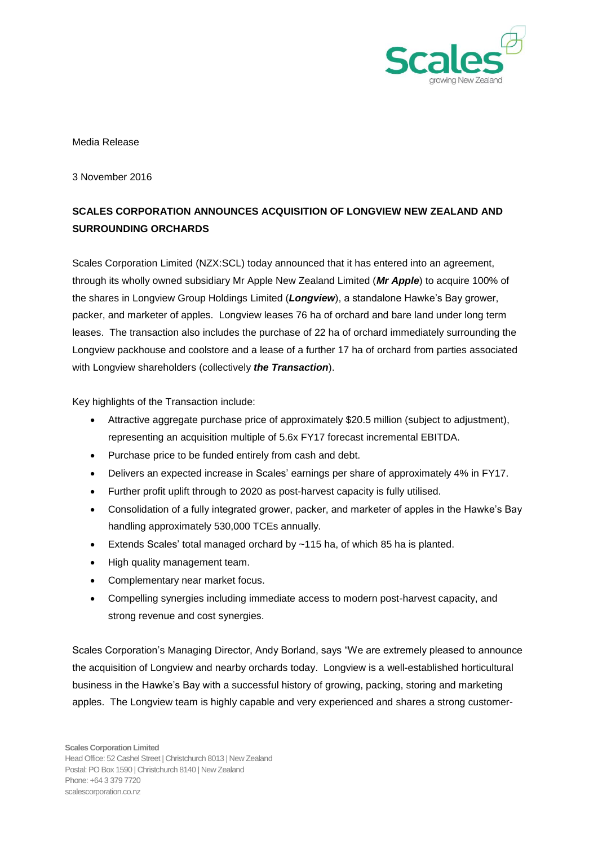

## Media Release

3 November 2016

## **SCALES CORPORATION ANNOUNCES ACQUISITION OF LONGVIEW NEW ZEALAND AND SURROUNDING ORCHARDS**

Scales Corporation Limited (NZX:SCL) today announced that it has entered into an agreement, through its wholly owned subsidiary Mr Apple New Zealand Limited (*Mr Apple*) to acquire 100% of the shares in Longview Group Holdings Limited (*Longview*), a standalone Hawke's Bay grower, packer, and marketer of apples. Longview leases 76 ha of orchard and bare land under long term leases. The transaction also includes the purchase of 22 ha of orchard immediately surrounding the Longview packhouse and coolstore and a lease of a further 17 ha of orchard from parties associated with Longview shareholders (collectively *the Transaction*).

Key highlights of the Transaction include:

- Attractive aggregate purchase price of approximately \$20.5 million (subject to adjustment), representing an acquisition multiple of 5.6x FY17 forecast incremental EBITDA.
- Purchase price to be funded entirely from cash and debt.
- Delivers an expected increase in Scales' earnings per share of approximately 4% in FY17.
- Further profit uplift through to 2020 as post-harvest capacity is fully utilised.
- Consolidation of a fully integrated grower, packer, and marketer of apples in the Hawke's Bay handling approximately 530,000 TCEs annually.
- Extends Scales' total managed orchard by ~115 ha, of which 85 ha is planted.
- High quality management team.
- Complementary near market focus.
- Compelling synergies including immediate access to modern post-harvest capacity, and strong revenue and cost synergies.

Scales Corporation's Managing Director, Andy Borland, says "We are extremely pleased to announce the acquisition of Longview and nearby orchards today. Longview is a well-established horticultural business in the Hawke's Bay with a successful history of growing, packing, storing and marketing apples. The Longview team is highly capable and very experienced and shares a strong customer